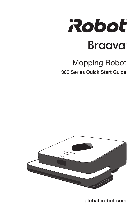

# **Mopping Robot** 300 Series Quick Start Guide



global.irobot.com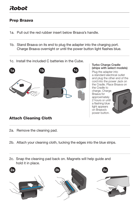### Prep Braava

- 1a. Pull out the red rubber insert below Braava's handle.
- 1b. Stand Braava on its end to plug the adapter into the charging port. Charge Braava overnight or until the power button light flashes blue.
- 1c. Install the included C batteries in the Cube.



Plug the adapter into a standard electrical outlet and plug the other end of the cord into the power Jack on the Cradle. Place Braava on the Cradle to charge. Charge Turbo Charge Cradle (ships with select models)

Braava for approximately 2 hours or until a flashing blue light appears on Braava's power button.



### Attach Cleaning Cloth

- 2a. Remove the cleaning pad.
- 2b. Attach your cleaning cloth, tucking the edges into the blue strips.
- 2c. Snap the cleaning pad back on. Magnets will help guide and hold it in place.

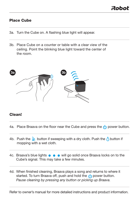### Place Cube

- 3a. Turn the Cube on. A flashing blue light will appear.
- 3b. Place Cube on a counter or table with a clear view of the ceiling. Point the blinking blue light toward the center of the room.



### Clean!

- 4a. Place Braava on the floor near the Cube and press the  $(b)$  power button.
- 4b. Push the  $\frac{1}{2}$  button if sweeping with a dry cloth. Push the  $\bigwedge$  button if mopping with a wet cloth.
- 4c. Braava's blue lights  $\bullet \bullet \bullet \bullet$  will go solid once Braava locks on to the Cube's signal. This may take a few minutes.
- 4d. When finished cleaning, Braava plays a song and returns to where it started. To turn Braava off, push and hold the  $\left(\cdot\right)$  power button. Pause cleaning by pressing any button or picking up Braava.

Refer to owner's manual for more detailed instructions and product information.